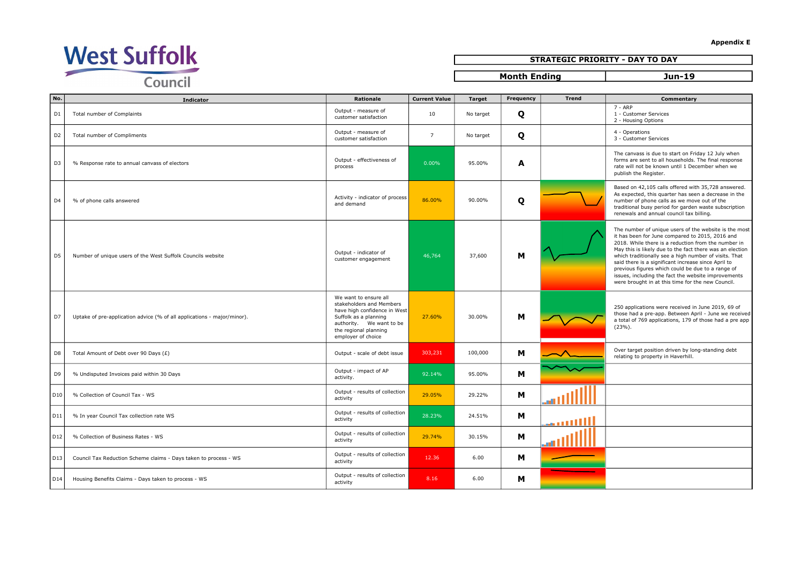

## STRATEGIC PRIORITY - DAY TO DAY

Month Ending and Jun-19

| No.            | <b>Indicator</b>                                                        | Rationale                                                                                                                                                                             | <b>Current Value</b> | <b>Target</b> | Frequency | <b>Trend</b> | Commentary                                                                                                                                                                                                                                                                                                                                                                                                                                                                                                   |
|----------------|-------------------------------------------------------------------------|---------------------------------------------------------------------------------------------------------------------------------------------------------------------------------------|----------------------|---------------|-----------|--------------|--------------------------------------------------------------------------------------------------------------------------------------------------------------------------------------------------------------------------------------------------------------------------------------------------------------------------------------------------------------------------------------------------------------------------------------------------------------------------------------------------------------|
| D <sub>1</sub> | Total number of Complaints                                              | Output - measure of<br>customer satisfaction                                                                                                                                          | 10                   | No target     | Q         |              | $7 - ARP$<br>1 - Customer Services<br>2 - Housing Options                                                                                                                                                                                                                                                                                                                                                                                                                                                    |
| D <sub>2</sub> | Total number of Compliments                                             | Output - measure of<br>customer satisfaction                                                                                                                                          | $7\overline{ }$      | No target     | Q         |              | 4 - Operations<br>3 - Customer Services                                                                                                                                                                                                                                                                                                                                                                                                                                                                      |
| D <sub>3</sub> | % Response rate to annual canvass of electors                           | Output - effectiveness of<br>process                                                                                                                                                  | 0.00%                | 95.00%        | A         |              | The canvass is due to start on Friday 12 July when<br>forms are sent to all households. The final response<br>rate will not be known until 1 December when we<br>publish the Register.                                                                                                                                                                                                                                                                                                                       |
| D <sub>4</sub> | % of phone calls answered                                               | Activity - indicator of process<br>and demand                                                                                                                                         | 86.00%               | 90.00%        | Q         |              | Based on 42,105 calls offered with 35,728 answered.<br>As expected, this quarter has seen a decrease in the<br>number of phone calls as we move out of the<br>traditional busy period for garden waste subscription<br>renewals and annual council tax billing.                                                                                                                                                                                                                                              |
| D <sub>5</sub> | Number of unique users of the West Suffolk Councils website             | Output - indicator of<br>customer engagement                                                                                                                                          | 46,764               | 37,600        | M         |              | The number of unique users of the website is the most<br>it has been for June compared to 2015, 2016 and<br>2018. While there is a reduction from the number in<br>May this is likely due to the fact there was an election<br>which traditionally see a high number of visits. That<br>said there is a significant increase since April to<br>previous figures which could be due to a range of<br>issues, including the fact the website improvements<br>were brought in at this time for the new Council. |
| D7             | Uptake of pre-application advice (% of all applications - major/minor). | We want to ensure all<br>stakeholders and Members<br>have high confidence in West<br>Suffolk as a planning<br>authority. We want to be<br>the regional planning<br>employer of choice | 27.60%               | 30.00%        | M         |              | 250 applications were received in June 2019, 69 of<br>those had a pre-app. Between April - June we received<br>a total of 769 applications, 179 of those had a pre app<br>$(23%)$ .                                                                                                                                                                                                                                                                                                                          |
| D <sub>8</sub> | Total Amount of Debt over 90 Days (£)                                   | Output - scale of debt issue                                                                                                                                                          | 303,231              | 100,000       | м         |              | Over target position driven by long-standing debt<br>relating to property in Haverhill.                                                                                                                                                                                                                                                                                                                                                                                                                      |
| D <sub>9</sub> | % Undisputed Invoices paid within 30 Days                               | Output - impact of AP<br>activity.                                                                                                                                                    | 92.14%               | 95.00%        | м         |              |                                                                                                                                                                                                                                                                                                                                                                                                                                                                                                              |
| D10            | % Collection of Council Tax - WS                                        | Output - results of collection<br>activity                                                                                                                                            | 29.05%               | 29.22%        | м         |              |                                                                                                                                                                                                                                                                                                                                                                                                                                                                                                              |
| D11            | % In year Council Tax collection rate WS                                | Output - results of collection<br>activity                                                                                                                                            | 28.23%               | 24.51%        | м         | الانسم       |                                                                                                                                                                                                                                                                                                                                                                                                                                                                                                              |
| D12            | % Collection of Business Rates - WS                                     | Output - results of collection<br>activity                                                                                                                                            | 29.74%               | 30.15%        | м         |              |                                                                                                                                                                                                                                                                                                                                                                                                                                                                                                              |
| D13            | Council Tax Reduction Scheme claims - Days taken to process - WS        | Output - results of collection<br>activity                                                                                                                                            | 12.36                | 6.00          | м         |              |                                                                                                                                                                                                                                                                                                                                                                                                                                                                                                              |
| DI4            | Housing Benefits Claims - Days taken to process - WS                    | Output - results of collection<br>activity                                                                                                                                            | 8.16                 | 6.00          | м         |              |                                                                                                                                                                                                                                                                                                                                                                                                                                                                                                              |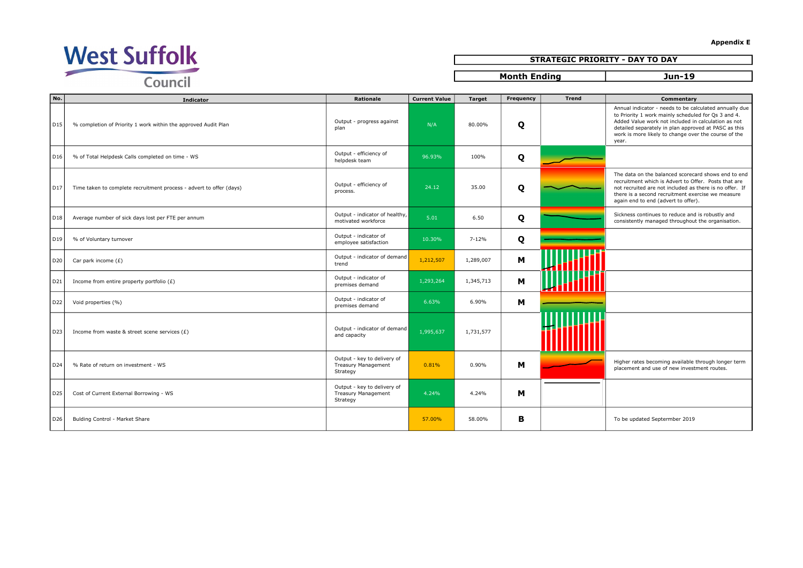

## STRATEGIC PRIORITY - DAY TO DAY

Month Ending and Jun-19

| No.             | <b>Indicator</b>                                                    | <b>Rationale</b>                                                      | <b>Current Value</b> | <b>Target</b> | Frequency | <b>Trend</b> | Commentary                                                                                                                                                                                                                                                                                    |
|-----------------|---------------------------------------------------------------------|-----------------------------------------------------------------------|----------------------|---------------|-----------|--------------|-----------------------------------------------------------------------------------------------------------------------------------------------------------------------------------------------------------------------------------------------------------------------------------------------|
| D <sub>15</sub> | % completion of Priority 1 work within the approved Audit Plan      | Output - progress against<br>plan                                     | N/A                  | 80.00%        | Q         |              | Annual indicator - needs to be calculated annually due<br>to Priority 1 work mainly scheduled for Qs 3 and 4.<br>Added Value work not included in calculation as not<br>detailed separately in plan approved at PASC as this<br>work is more likely to change over the course of the<br>year. |
| D <sub>16</sub> | % of Total Helpdesk Calls completed on time - WS                    | Output - efficiency of<br>helpdesk team                               | 96.93%               | 100%          | Q         |              |                                                                                                                                                                                                                                                                                               |
| D <sub>17</sub> | Time taken to complete recruitment process - advert to offer (days) | Output - efficiency of<br>process.                                    | 24.12                | 35.00         | Q         |              | The data on the balanced scorecard shows end to end<br>recruitment which is Advert to Offer. Posts that are<br>not recruited are not included as there is no offer. If<br>there is a second recruitment exercise we measure<br>again end to end (advert to offer).                            |
| D <sub>18</sub> | Average number of sick days lost per FTE per annum                  | Output - indicator of healthy,<br>motivated workforce                 | 5.01                 | 6.50          | Q         |              | Sickness continues to reduce and is robustly and<br>consistently managed throughout the organisation.                                                                                                                                                                                         |
| D <sub>19</sub> | % of Voluntary turnover                                             | Output - indicator of<br>employee satisfaction                        | 10.30%               | $7 - 12%$     | Q         |              |                                                                                                                                                                                                                                                                                               |
| D20             | Car park income $(E)$                                               | Output - indicator of demand<br>trend                                 | 1,212,507            | 1,289,007     | M         |              |                                                                                                                                                                                                                                                                                               |
| D21             | Income from entire property portfolio $(E)$                         | Output - indicator of<br>premises demand                              | 1,293,264            | 1,345,713     | м         |              |                                                                                                                                                                                                                                                                                               |
| D22             | Void properties (%)                                                 | Output - indicator of<br>premises demand                              | 6.63%                | 6.90%         | M         |              |                                                                                                                                                                                                                                                                                               |
| D23             | Income from waste & street scene services $(E)$                     | Output - indicator of demand<br>and capacity                          | 1,995,637            | 1,731,577     |           |              |                                                                                                                                                                                                                                                                                               |
| D24             | % Rate of return on investment - WS                                 | Output - key to delivery of<br><b>Treasury Management</b><br>Strategy | 0.81%                | 0.90%         | м         |              | Higher rates becoming available through longer term<br>placement and use of new investment routes.                                                                                                                                                                                            |
| D <sub>25</sub> | Cost of Current External Borrowing - WS                             | Output - key to delivery of<br><b>Treasury Management</b><br>Strategy | 4.24%                | 4.24%         | м         |              |                                                                                                                                                                                                                                                                                               |
| D <sub>26</sub> | Bulding Control - Market Share                                      |                                                                       | 57.00%               | 58.00%        | в         |              | To be updated Septermber 2019                                                                                                                                                                                                                                                                 |

Appendix E